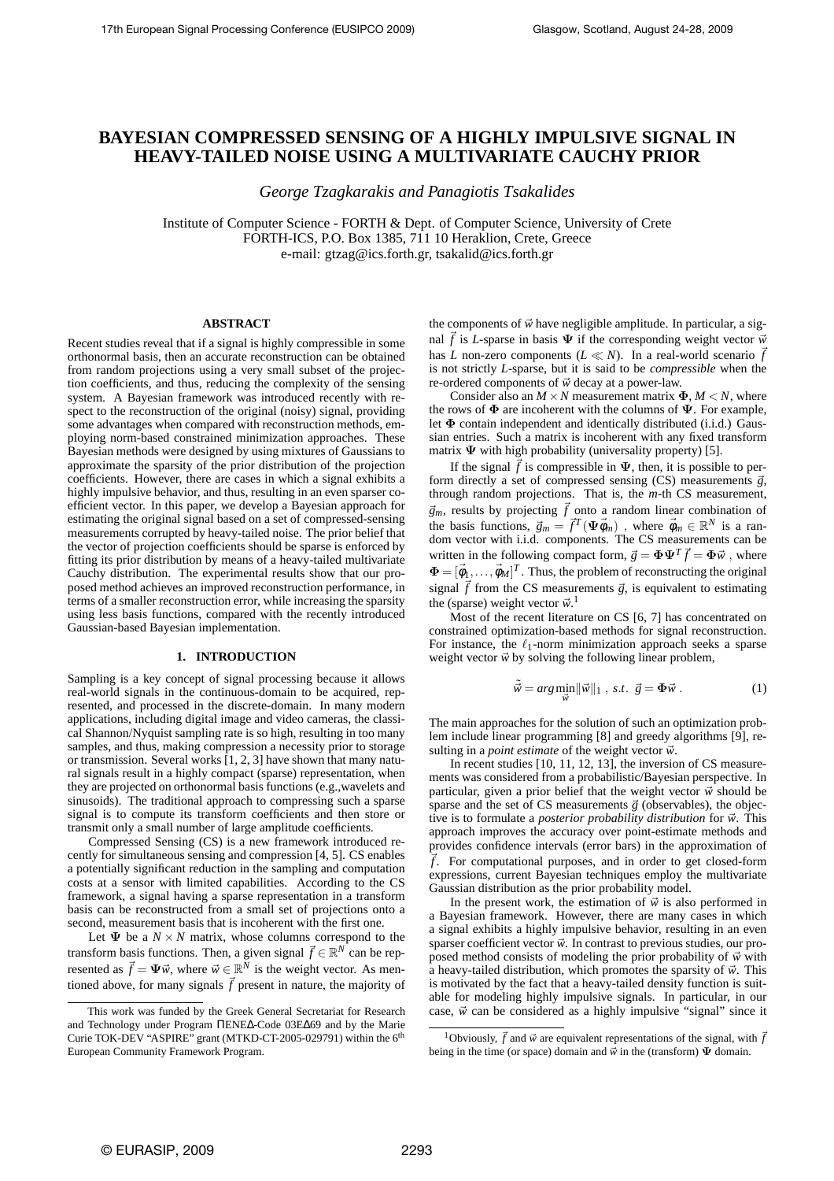# **BAYESIAN COMPRESSED SENSING OF A HIGHLY IMPULSIVE SIGNAL IN HEAVY-TAILED NOISE USING A MULTIVARIATE CAUCHY PRIOR**

*George Tzagkarakis and Panagiotis Tsakalides*

Institute of Computer Science - FORTH & Dept. of Computer Science, University of Crete FORTH-ICS, P.O. Box 1385, 711 10 Heraklion, Crete, Greece e-mail: gtzag@ics.forth.gr, tsakalid@ics.forth.gr

## **ABSTRACT**

Recent studies reveal that if a signal is highly compressible in some orthonormal basis, then an accurate reconstruction can be obtained from random projections using a very small subset of the projection coefficients, and thus, reducing the complexity of the sensing system. A Bayesian framework was introduced recently with respect to the reconstruction of the original (noisy) signal, providing some advantages when compared with reconstruction methods, employing norm-based constrained minimization approaches. These Bayesian methods were designed by using mixtures of Gaussians to approximate the sparsity of the prior distribution of the projection coefficients. However, there are cases in which a signal exhibits a highly impulsive behavior, and thus, resulting in an even sparser coefficient vector. In this paper, we develop a Bayesian approach for estimating the original signal based on a set of compressed-sensing measurements corrupted by heavy-tailed noise. The prior belief that the vector of projection coefficients should be sparse is enforced by fitting its prior distribution by means of a heavy-tailed multivariate Cauchy distribution. The experimental results show that our proposed method achieves an improved reconstruction performance, in terms of a smaller reconstruction error, while increasing the sparsity using less basis functions, compared with the recently introduced Gaussian-based Bayesian implementation.

### **1. INTRODUCTION**

Sampling is a key concept of signal processing because it allows real-world signals in the continuous-domain to be acquired, represented, and processed in the discrete-domain. In many modern applications, including digital image and video cameras, the classical Shannon/Nyquist sampling rate is so high, resulting in too many samples, and thus, making compression a necessity prior to storage or transmission. Several works [1, 2, 3] have shown that many natural signals result in a highly compact (sparse) representation, when they are projected on orthonormal basis functions (e.g.,wavelets and sinusoids). The traditional approach to compressing such a sparse signal is to compute its transform coefficients and then store or transmit only a small number of large amplitude coefficients.

Compressed Sensing (CS) is a new framework introduced recently for simultaneous sensing and compression [4, 5]. CS enables a potentially significant reduction in the sampling and computation costs at a sensor with limited capabilities. According to the CS framework, a signal having a sparse representation in a transform basis can be reconstructed from a small set of projections onto a second, measurement basis that is incoherent with the first one.

Let  $\Psi$  be a  $N \times N$  matrix, whose columns correspond to the transform basis functions. Then, a given signal  $\vec{f} \in \mathbb{R}^N$  can be represented as  $\vec{f} = \Psi \vec{w}$ , where  $\vec{w} \in \mathbb{R}^N$  is the weight vector. As mentioned above, for many signals  $\vec{f}$  present in nature, the majority of the components of  $\vec{w}$  have negligible amplitude. In particular, a signal  $\vec{f}$  is *L*-sparse in basis  $\Psi$  if the corresponding weight vector  $\vec{w}$ has *L* non-zero components ( $L \ll N$ ). In a real-world scenario  $\vec{f}$ is not strictly *L*-sparse, but it is said to be *compressible* when the re-ordered components of  $\vec{w}$  decay at a power-law.

Consider also an  $M \times N$  measurement matrix  $\Phi$ ,  $M \leq N$ , where the rows of  $\Phi$  are incoherent with the columns of  $\Psi$ . For example, let  $\Phi$  contain independent and identically distributed (i.i.d.) Gaussian entries. Such a matrix is incoherent with any fixed transform matrix  $\Psi$  with high probability (universality property) [5].

If the signal  $\hat{f}$  is compressible in  $\Psi$ , then, it is possible to perform directly a set of compressed sensing (CS) measurements  $\vec{g}$ , through random projections. That is, the *m*-th CS measurement,  $\vec{g}_m$ , results by projecting  $\vec{f}$  onto a random linear combination of the basis functions,  $\vec{g}_m = \vec{f}^T(\Psi \vec{\phi}_m)$ , where  $\vec{\phi}_m \in \mathbb{R}^N$  is a random vector with i.i.d. components. The CS measurements can be written in the following compact form,  $\vec{g} = \mathbf{\Phi} \mathbf{\Psi}^T \vec{f} = \mathbf{\Phi} \vec{w}$ , where  $\mathbf{\Phi} = [\vec{\phi}_1, \dots, \vec{\phi}_M]^T$ . Thus, the problem of reconstructing the original signal  $\vec{f}$  from the CS measurements  $\vec{g}$ , is equivalent to estimating the (sparse) weight vector  $\vec{w}$ .<sup>1</sup>

Most of the recent literature on CS [6, 7] has concentrated on constrained optimization-based methods for signal reconstruction. For instance, the  $\ell_1$ -norm minimization approach seeks a sparse weight vector  $\vec{w}$  by solving the following linear problem,

$$
\tilde{\vec{w}} = \arg\min_{\vec{w}} \|\vec{w}\|_1 \text{ , s.t. } \vec{g} = \Phi \vec{w} . \tag{1}
$$

The main approaches for the solution of such an optimization problem include linear programming [8] and greedy algorithms [9], resulting in a *point estimate* of the weight vector  $\vec{w}$ .

In recent studies [10, 11, 12, 13], the inversion of CS measurements was considered from a probabilistic/Bayesian perspective. In particular, given a prior belief that the weight vector  $\vec{w}$  should be sparse and the set of CS measurements  $\vec{g}$  (observables), the objective is to formulate a *posterior probability distribution* for  $\vec{w}$ . This approach improves the accuracy over point-estimate methods and provides confidence intervals (error bars) in the approximation of  $\vec{f}$ . For computational purposes, and in order to get closed-form expressions, current Bayesian techniques employ the multivariate Gaussian distribution as the prior probability model.

In the present work, the estimation of  $\vec{w}$  is also performed in a Bayesian framework. However, there are many cases in which a signal exhibits a highly impulsive behavior, resulting in an even sparser coefficient vector  $\vec{w}$ . In contrast to previous studies, our proposed method consists of modeling the prior probability of  $\vec{w}$  with a heavy-tailed distribution, which promotes the sparsity of  $\vec{w}$ . This is motivated by the fact that a heavy-tailed density function is suitable for modeling highly impulsive signals. In particular, in our case,  $\vec{w}$  can be considered as a highly impulsive "signal" since it

This work was funded by the Greek General Secretariat for Research and Technology under Program ΠENE∆-Code 03E∆69 and by the Marie Curie TOK-DEV "ASPIRE" grant (MTKD-CT-2005-029791) within the 6<sup>th</sup> European Community Framework Program.

<sup>&</sup>lt;sup>1</sup>Obviously,  $\vec{f}$  and  $\vec{w}$  are equivalent representations of the signal, with  $\vec{f}$ being in the time (or space) domain and  $\vec{w}$  in the (transform)  $\Psi$  domain.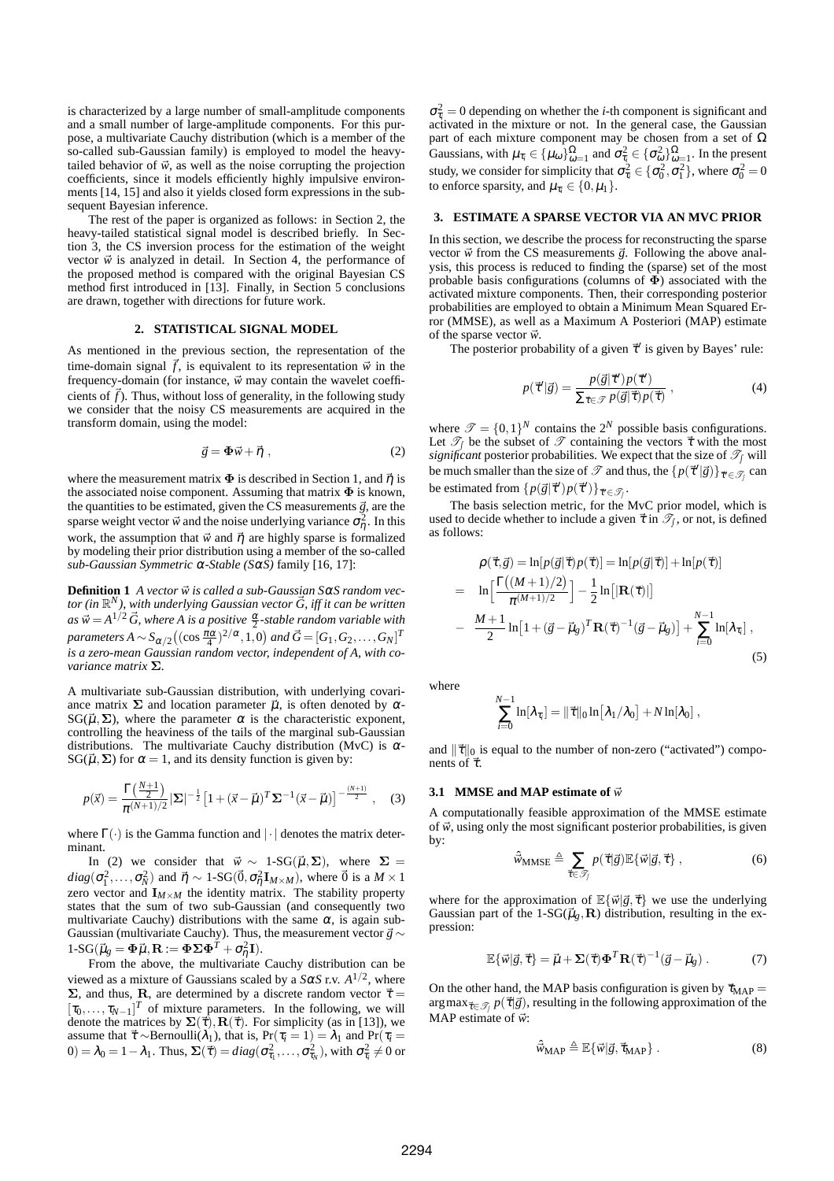is characterized by a large number of small-amplitude components and a small number of large-amplitude components. For this purpose, a multivariate Cauchy distribution (which is a member of the so-called sub-Gaussian family) is employed to model the heavytailed behavior of  $\vec{w}$ , as well as the noise corrupting the projection coefficients, since it models efficiently highly impulsive environments [14, 15] and also it yields closed form expressions in the subsequent Bayesian inference.

The rest of the paper is organized as follows: in Section 2, the heavy-tailed statistical signal model is described briefly. In Section 3, the CS inversion process for the estimation of the weight vector  $\vec{w}$  is analyzed in detail. In Section 4, the performance of the proposed method is compared with the original Bayesian CS method first introduced in [13]. Finally, in Section 5 conclusions are drawn, together with directions for future work.

### **2. STATISTICAL SIGNAL MODEL**

As mentioned in the previous section, the representation of the time-domain signal  $\vec{f}$ , is equivalent to its representation  $\vec{w}$  in the frequency-domain (for instance,  $\vec{w}$  may contain the wavelet coefficients of  $\hat{f}$ ). Thus, without loss of generality, in the following study we consider that the noisy CS measurements are acquired in the transform domain, using the model:

$$
\vec{g} = \mathbf{\Phi}\vec{w} + \vec{\eta} \tag{2}
$$

where the measurement matrix  $\Phi$  is described in Section 1, and  $\vec{\eta}$  is the associated noise component. Assuming that matrix  $\Phi$  is known, the quantities to be estimated, given the CS measurements  $\vec{g}$ , are the sparse weight vector  $\vec{w}$  and the noise underlying variance  $\sigma_{\eta}^2$ . In this work, the assumption that  $\vec{w}$  and  $\vec{\eta}$  are highly sparse is formalized by modeling their prior distribution using a member of the so-called *sub-Gaussian Symmetric* <sup>α</sup>*-Stable (S*α*S)* family [16, 17]:

**Definition 1** *A vector*  $\vec{w}$  *is called a sub-Gaussian*  $S\alpha S$  *random vec* $t$  *tor (in*  $\mathbb{R}^N$ *), with underlying Gaussian vector*  $\vec{G}$ *, iff it can be written*  $as \vec{w} = A^{1/2} \vec{G}$ , where *A* is a positive  $\frac{\alpha}{2}$ -stable random variable with  $\int_{R}$  *and*  $\int_{R}$  *c*  $\int_{R}$  *A*  $\int_{R}$   $\int_{R}$  ((cos  $\frac{\pi\alpha}{4}$ )<sup>2</sup>/ $\alpha$ , 1, 0) and  $\vec{G} = [G_1, G_2, ..., G_N]^T$ *is a zero-mean Gaussian random vector, independent of A, with covariance matrix* Σ*.*

A multivariate sub-Gaussian distribution, with underlying covariance matrix  $\Sigma$  and location parameter  $\vec{u}$ , is often denoted by  $\alpha$ - $SG(\vec{\mu}, \Sigma)$ , where the parameter  $\alpha$  is the characteristic exponent, controlling the heaviness of the tails of the marginal sub-Gaussian distributions. The multivariate Cauchy distribution (MvC) is  $\alpha$ -SG( $\vec{\mu}, \Sigma$ ) for  $\alpha = 1$ , and its density function is given by:

$$
p(\vec{x}) = \frac{\Gamma(\frac{N+1}{2})}{\pi^{(N+1)/2}} |\Sigma|^{-\frac{1}{2}} \left[1 + (\vec{x} - \vec{\mu})^T \Sigma^{-1} (\vec{x} - \vec{\mu})\right]^{-\frac{(N+1)}{2}}, \quad (3)
$$

where  $\Gamma(\cdot)$  is the Gamma function and  $|\cdot|$  denotes the matrix determinant.

In (2) we consider that  $\vec{w} \sim 1$ -SG( $\vec{\mu}, \Sigma$ ), where  $\Sigma =$  $diag(\sigma_1^2, \ldots, \sigma_N^2)$  and  $\vec{\eta} \sim 1\text{-SG}(\vec{0}, \sigma_\eta^2 \mathbf{I}_{M \times M})$ , where  $\vec{0}$  is a  $M \times 1$ zero vector and  $\mathbf{I}_{M \times M}$  the identity matrix. The stability property states that the sum of two sub-Gaussian (and consequently two multivariate Cauchy) distributions with the same  $\alpha$ , is again sub-Gaussian (multivariate Cauchy). Thus, the measurement vector  $\vec{g} \sim$  $1-SG(\vec{\mu}_g = \mathbf{\Phi}\vec{\mu}, \mathbf{R} := \mathbf{\Phi}\Sigma\mathbf{\Phi}^T + \sigma_{\eta}^2\mathbf{I}).$ 

From the above, the multivariate Cauchy distribution can be viewed as a mixture of Gaussians scaled by a  $S\alpha S$  r.v.  $A^{1/2}$ , where  $\Sigma$ , and thus, R, are determined by a discrete random vector  $\vec{\tau}$  =  $[\tau_0, \ldots, \tau_{N-1}]^T$  of mixture parameters. In the following, we will denote the matrices by  $\Sigma(\vec{\tau}), \mathbf{R}(\vec{\tau})$ . For simplicity (as in [13]), we assume that  $\vec{\tau} \sim \text{Bernoulli}(\lambda_1)$ , that is,  $\Pr(\tau_i = 1) = \lambda_1$  and  $\Pr(\tau_i = 1)$  $(0) = \lambda_0 = 1 - \lambda_1$ . Thus,  $\Sigma(\vec{\tau}) = diag(\sigma_{\tau_1}^2, \dots, \sigma_{\tau_N}^2)$ , with  $\sigma_{\tau_i}^2 \neq 0$  or

 $\sigma_{\tau_i}^2 = 0$  depending on whether the *i*-th component is significant and activated in the mixture or not. In the general case, the Gaussian part of each mixture component may be chosen from a set of  $\Omega$ Gaussians, with  $\mu_{\tau_i} \in {\{\mu_\omega\}}_{\omega=1}^{\Omega}$  and  $\sigma_{\tau_i}^2 \in {\{\sigma_\omega^2\}}_{\omega=1}^{\Omega}$ . In the present study, we consider for simplicity that  $\sigma_{\tau_i}^2 \in \{\sigma_0^2, \sigma_1^2\}$ , where  $\sigma_0^2 = 0$ to enforce sparsity, and  $\mu_{\tau_i} \in \{0, \mu_1\}.$ 

## **3. ESTIMATE A SPARSE VECTOR VIA AN MVC PRIOR**

In this section, we describe the process for reconstructing the sparse vector  $\vec{w}$  from the CS measurements  $\vec{g}$ . Following the above analysis, this process is reduced to finding the (sparse) set of the most probable basis configurations (columns of  $\Phi$ ) associated with the activated mixture components. Then, their corresponding posterior probabilities are employed to obtain a Minimum Mean Squared Error (MMSE), as well as a Maximum A Posteriori (MAP) estimate of the sparse vector  $\vec{w}$ .

The posterior probability of a given  $\vec{\tau}'$  is given by Bayes' rule:

$$
p(\vec{\tau}'|\vec{g}) = \frac{p(\vec{g}|\vec{\tau}')p(\vec{\tau}')}{\sum_{\vec{\tau}\in\mathcal{P}} p(\vec{g}|\vec{\tau})p(\vec{\tau})},
$$
\n(4)

where  $\mathcal{T} = \{0,1\}^N$  contains the  $2^N$  possible basis configurations. Let  $\mathcal{T}_\int$  be the subset of  $\mathcal T$  containing the vectors  $\vec \tau$  with the most *significant* posterior probabilities. We expect that the size of  $\mathcal{T}_{\text{f}}$  will be much smaller than the size of  $\mathscr T$  and thus, the  $\{p(\vec{\tau}'|\vec{g})\}_{\vec{\tau}' \in \mathscr T_f}$  can be estimated from  $\{p(\vec{g}|\vec{\tau}')p(\vec{\tau}')\}_{\vec{\tau}' \in \mathscr{T}_f}$ .

The basis selection metric, for the MvC prior model, which is used to decide whether to include a given  $\vec{\tau}$  in  $\mathscr{T}_f$ , or not, is defined as follows:

$$
\rho(\vec{\tau}, \vec{g}) = \ln[p(\vec{g}|\vec{\tau})p(\vec{\tau})] = \ln[p(\vec{g}|\vec{\tau})] + \ln[p(\vec{\tau})]
$$
  
\n
$$
= \ln\left[\frac{\Gamma((M+1)/2)}{\pi^{(M+1)/2}}\right] - \frac{1}{2}\ln\left[|\mathbf{R}(\vec{\tau})|\right]
$$
  
\n
$$
- \frac{M+1}{2}\ln\left[1+(\vec{g}-\vec{\mu}_{g})^{T}\mathbf{R}(\vec{\tau})^{-1}(\vec{g}-\vec{\mu}_{g})\right] + \sum_{i=0}^{N-1}\ln[\lambda_{\tau_{i}}],
$$
\n(5)

where

$$
\sum_{i=0}^{N-1} \ln [\lambda_{\tau_i}] = \|\vec{\tau}\|_0 \ln \bigl[\lambda_1/\lambda_0\bigr] + N \ln [\lambda_0] \;,
$$

and  $\|\vec{\tau}\|_0$  is equal to the number of non-zero ("activated") components of  $\vec{\tau}$ .

# **3.1 MMSE and MAP estimate of**  $\vec{w}$

*N*−1

A computationally feasible approximation of the MMSE estimate of  $\vec{w}$ , using only the most significant posterior probabilities, is given by:

$$
\hat{\vec{w}}_{\text{MMSE}} \triangleq \sum_{\vec{\tau} \in \mathcal{I}_j} p(\vec{\tau}|\vec{g}) \mathbb{E} \{\vec{w}|\vec{g}, \vec{\tau}\},\tag{6}
$$

where for the approximation of  $\mathbb{E}\{\vec{w}|\vec{g},\vec{\tau}\}\$  we use the underlying Gaussian part of the 1-SG( $\vec{\mu}_g$ , **R**) distribution, resulting in the expression:

$$
\mathbb{E}\{\vec{w}|\vec{g},\vec{\tau}\} = \vec{\mu} + \Sigma(\vec{\tau})\mathbf{\Phi}^T \mathbf{R}(\vec{\tau})^{-1}(\vec{g} - \vec{\mu}_g) . \tag{7}
$$

On the other hand, the MAP basis configuration is given by  $\vec{\tau}_{MAP} =$  $\argmax_{\vec{\tau} \in \mathcal{S}_{f}} p(\vec{\tau} | \vec{g})$ , resulting in the following approximation of the MAP estimate of  $\vec{w}$ :

$$
\hat{\vec{w}}_{\text{MAP}} \triangleq \mathbb{E}\{\vec{w}|\vec{g}, \vec{\tau}_{\text{MAP}}\} \,. \tag{8}
$$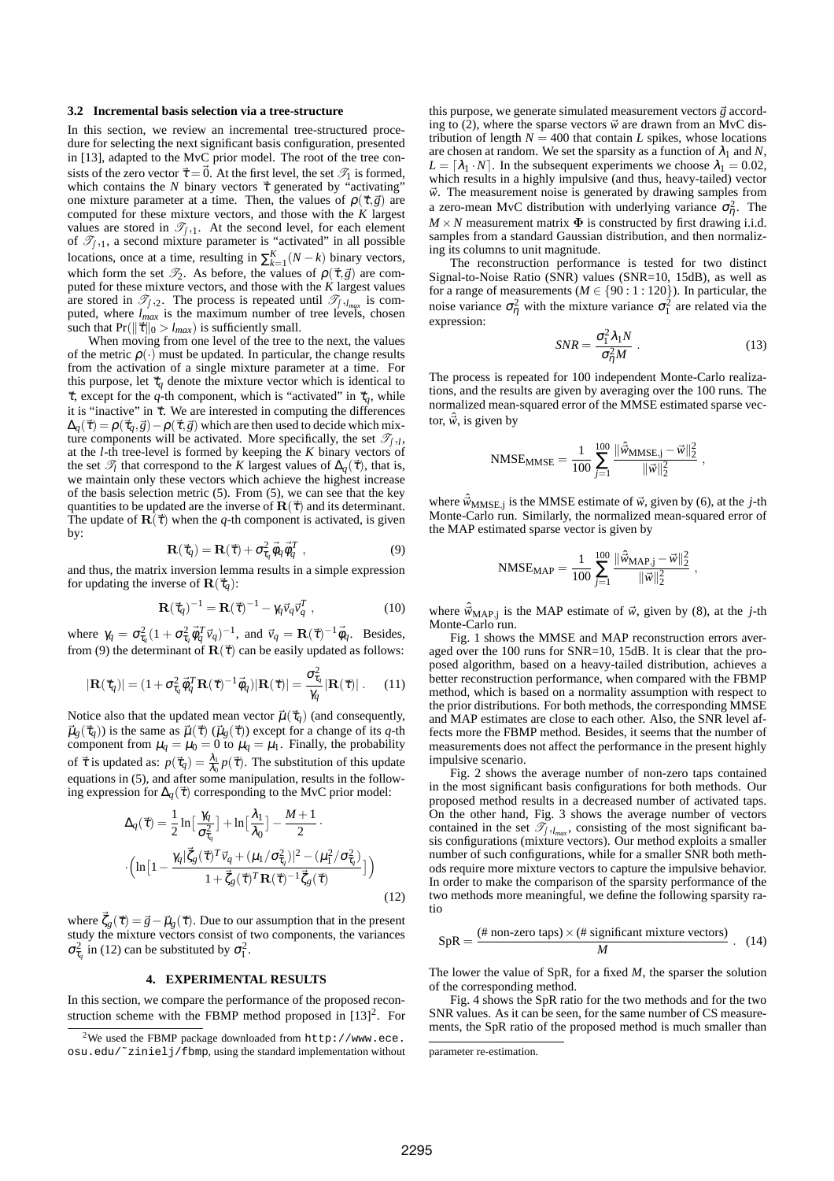#### **3.2 Incremental basis selection via a tree-structure**

In this section, we review an incremental tree-structured procedure for selecting the next significant basis configuration, presented in [13], adapted to the MvC prior model. The root of the tree consists of the zero vector  $\vec{\tau} = \vec{0}$ . At the first level, the set  $\mathscr{T}_1$  is formed, which contains the *N* binary vectors  $\vec{\tau}$  generated by "activating" one mixture parameter at a time. Then, the values of  $\rho(\vec{\tau}, \vec{g})$  are computed for these mixture vectors, and those with the *K* largest values are stored in  $\mathcal{T}_{f,1}$ . At the second level, for each element of  $\mathcal{T}_{f,1}$ , a second mixture parameter is "activated" in all possible locations, once at a time, resulting in  $\sum_{k=1}^{K} (N - k)$  binary vectors, which form the set  $\mathcal{T}_2$ . As before, the values of  $\rho(\vec{\tau}, \vec{g})$  are computed for these mixture vectors, and those with the *K* largest values are stored in  $\mathcal{T}_{\int,2}$ . The process is repeated until  $\mathcal{T}_{\int, l_{max}}$  is computed, where *lmax* is the maximum number of tree levels, chosen such that  $Pr(||\vec{\tau}||_0 > l_{max})$  is sufficiently small.

When moving from one level of the tree to the next, the values of the metric  $\rho(\cdot)$  must be updated. In particular, the change results from the activation of a single mixture parameter at a time. For this purpose, let  $\vec{\tau}_q$  denote the mixture vector which is identical to  $\vec{\tau}$ , except for the *q*-th component, which is "activated" in  $\vec{\tau}_q$ , while it is "inactive" in  $\vec{\tau}$ . We are interested in computing the differences  $\Delta_q(\vec{\tau}) = \rho(\vec{\tau}_q, \vec{g}) - \rho(\vec{\tau}, \vec{g})$  which are then used to decide which mixture components will be activated. More specifically, the set  $\mathcal{T}_{\int, l}$ , at the *l*-th tree-level is formed by keeping the *K* binary vectors of the set  $\mathcal{T}_l$  that correspond to the *K* largest values of  $\Delta_q(\vec{\tau})$ , that is, we maintain only these vectors which achieve the highest increase of the basis selection metric (5). From (5), we can see that the key quantities to be updated are the inverse of  $\mathbf{R}(\vec{\tau})$  and its determinant. The update of  $\mathbf{R}(\vec{\tau})$  when the *q*-th component is activated, is given by:

$$
\mathbf{R}(\vec{\tau}_q) = \mathbf{R}(\vec{\tau}) + \sigma_{\tau_q}^2 \vec{\phi}_q \vec{\phi}_q^T , \qquad (9)
$$

and thus, the matrix inversion lemma results in a simple expression for updating the inverse of  $\mathbf{R}(\vec{\tau}_q)$ :

$$
\mathbf{R}(\vec{\tau}_q)^{-1} = \mathbf{R}(\vec{\tau})^{-1} - \gamma_q \vec{v}_q \vec{v}_q^T , \qquad (10)
$$

where  $\gamma_q = \sigma_{\tau_q}^2 (1 + \sigma_{\tau_q}^2 \vec{\phi}_q^T \vec{v}_q)^{-1}$ , and  $\vec{v}_q = \mathbf{R}(\vec{\tau})^{-1} \vec{\phi}_q$ . Besides, from (9) the determinant of  $\mathbf{R}(\vec{\tau})$  can be easily updated as follows:

$$
|\mathbf{R}(\vec{\tau}_q)| = (1 + \sigma_{\tau_q}^2 \vec{\phi}_q^T \mathbf{R}(\vec{\tau})^{-1} \vec{\phi}_q) |\mathbf{R}(\vec{\tau})| = \frac{\sigma_{\tau_q}^2}{\gamma_q} |\mathbf{R}(\vec{\tau})| \,. \tag{11}
$$

Notice also that the updated mean vector  $\vec{\mu}(\vec{\tau}_q)$  (and consequently,  $\vec{\mu}_g(\vec{\tau}_q)$ ) is the same as  $\vec{\mu}(\vec{\tau})$  ( $\vec{\mu}_g(\vec{\tau})$ ) except for a change of its *q*-th component from  $\mu_q = \mu_0 = 0$  to  $\mu_q = \mu_1$ . Finally, the probability of  $\vec{\tau}$  is updated as:  $p(\vec{\tau}_q) = \frac{\lambda_1}{\lambda_0} p(\vec{\tau})$ . The substitution of this update equations in (5), and after some manipulation, results in the following expression for  $\Delta_q(\vec{\tau})$  corresponding to the MvC prior model:

$$
\Delta_q(\vec{\tau}) = \frac{1}{2} \ln \left[ \frac{\gamma_q}{\sigma_{\tau_q}^2} \right] + \ln \left[ \frac{\lambda_1}{\lambda_0} \right] - \frac{M+1}{2} \cdot \left( \ln \left[ 1 - \frac{\gamma_q |\vec{\zeta}_g(\vec{\tau})^T \vec{v}_q + (\mu_1/\sigma_{\tau_q}^2)|^2 - (\mu_1^2/\sigma_{\tau_q}^2)}{1 + \vec{\zeta}_g(\vec{\tau})^T \mathbf{R}(\vec{\tau})^{-1} \vec{\zeta}_g(\vec{\tau})} \right] \right)
$$
\n(12)

where  $\vec{\zeta}_g(\vec{\tau}) = \vec{g} - \vec{\mu}_g(\vec{\tau})$ . Due to our assumption that in the present study the mixture vectors consist of two components, the variances  $\sigma_{\tau_q}^2$  in (12) can be substituted by  $\sigma_1^2$ .

#### **4. EXPERIMENTAL RESULTS**

In this section, we compare the performance of the proposed reconstruction scheme with the FBMP method proposed in  $[13]^2$ . For this purpose, we generate simulated measurement vectors  $\vec{g}$  according to (2), where the sparse vectors  $\vec{w}$  are drawn from an MvC distribution of length  $N = 400$  that contain *L* spikes, whose locations are chosen at random. We set the sparsity as a function of  $\lambda_1$  and N,  $L = [\lambda_1 \cdot N]$ . In the subsequent experiments we choose  $\lambda_1 = 0.02$ , which results in a highly impulsive (and thus, heavy-tailed) vector  $\vec{w}$ . The measurement noise is generated by drawing samples from a zero-mean MvC distribution with underlying variance  $\sigma_{\eta}^2$ . The  $M \times N$  measurement matrix  $\Phi$  is constructed by first drawing i.i.d. samples from a standard Gaussian distribution, and then normalizing its columns to unit magnitude.

The reconstruction performance is tested for two distinct Signal-to-Noise Ratio (SNR) values (SNR=10, 15dB), as well as for a range of measurements ( $M \in \{90 : 1 : 120\}$ ). In particular, the noise variance  $\sigma_{\eta}^2$  with the mixture variance  $\sigma_1^2$  are related via the expression:

$$
SNR = \frac{\sigma_1^2 \lambda_1 N}{\sigma_1^2 M} \,. \tag{13}
$$

The process is repeated for 100 independent Monte-Carlo realizations, and the results are given by averaging over the 100 runs. The normalized mean-squared error of the MMSE estimated sparse vector,  $\hat{\vec{w}}$ , is given by

$$
\text{NMSE}_{\text{MMSE}} = \frac{1}{100} \sum_{j=1}^{100} \frac{\|\hat{\vec{w}}_{\text{MMSE},j} - \vec{w}\|_2^2}{\|\vec{w}\|_2^2} \; ,
$$

where  $\hat{\vec{w}}_{\mathrm{MMSE},j}$  is the MMSE estimate of  $\vec{w}$ , given by (6), at the *j*-th Monte-Carlo run. Similarly, the normalized mean-squared error of the MAP estimated sparse vector is given by

$$
\text{NMSE}_{\text{MAP}} = \frac{1}{100} \sum_{j=1}^{100} \frac{\|\hat{\vec{w}}_{\text{MAP},j} - \vec{w}\|_2^2}{\|\vec{w}\|_2^2} \;,
$$

where  $\hat{w}_{MAP, j}$  is the MAP estimate of  $\vec{w}$ , given by (8), at the *j*-th Monte-Carlo run.

Fig. 1 shows the MMSE and MAP reconstruction errors averaged over the 100 runs for SNR=10, 15dB. It is clear that the proposed algorithm, based on a heavy-tailed distribution, achieves a better reconstruction performance, when compared with the FBMP method, which is based on a normality assumption with respect to the prior distributions. For both methods, the corresponding MMSE and MAP estimates are close to each other. Also, the SNR level affects more the FBMP method. Besides, it seems that the number of measurements does not affect the performance in the present highly impulsive scenario.

Fig. 2 shows the average number of non-zero taps contained in the most significant basis configurations for both methods. Our proposed method results in a decreased number of activated taps. On the other hand, Fig. 3 shows the average number of vectors contained in the set  $\mathcal{T}_{\int J_{max}}$ , consisting of the most significant basis configurations (mixture vectors). Our method exploits a smaller number of such configurations, while for a smaller SNR both methods require more mixture vectors to capture the impulsive behavior. In order to make the comparison of the sparsity performance of the two methods more meaningful, we define the following sparsity ratio

$$
SpR = \frac{(\text{# non-zero taps}) \times (\text{# significant mixture vectors})}{M}
$$
 (14)

The lower the value of SpR, for a fixed *M*, the sparser the solution of the corresponding method.

Fig. 4 shows the SpR ratio for the two methods and for the two SNR values. As it can be seen, for the same number of CS measurements, the SpR ratio of the proposed method is much smaller than

<sup>&</sup>lt;sup>2</sup>We used the FBMP package downloaded from  $http://www.ece.$ osu.edu/˜zinielj/fbmp, using the standard implementation without

parameter re-estimation.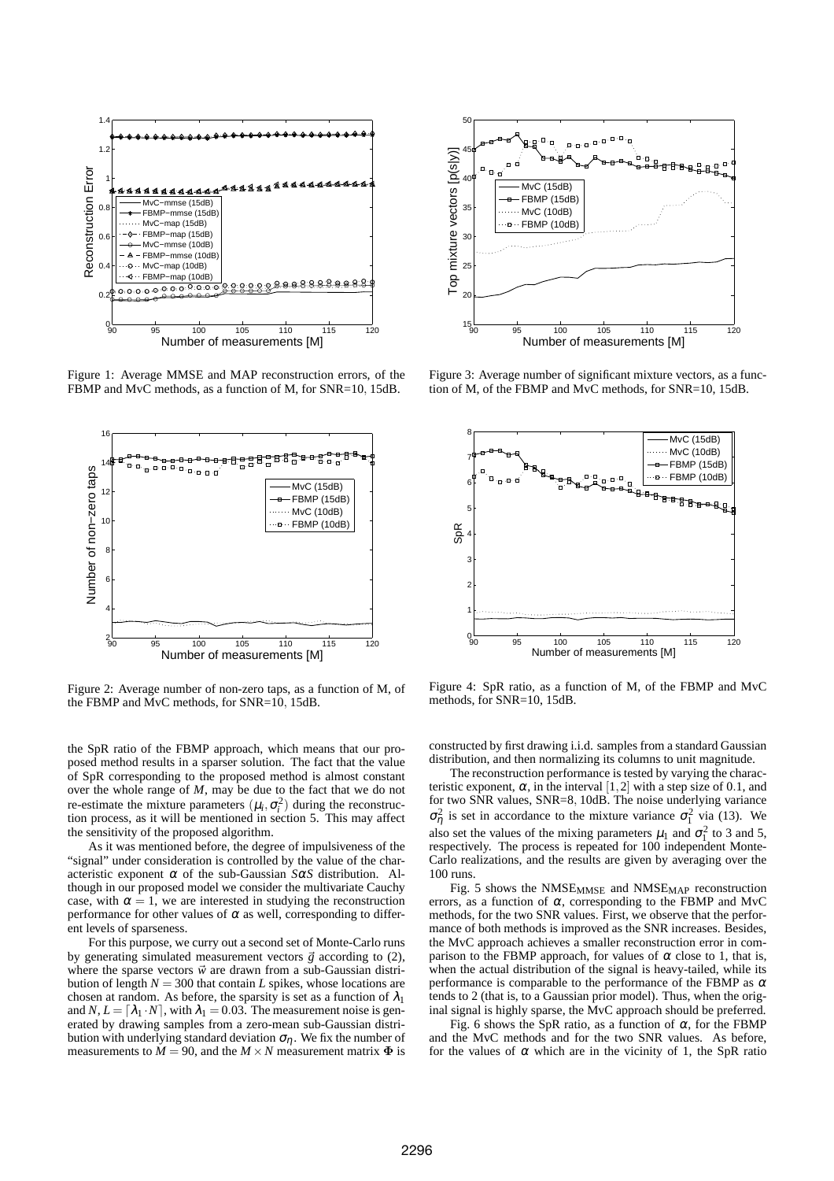

Figure 1: Average MMSE and MAP reconstruction errors, of the FBMP and MvC methods, as a function of M, for SNR=10, 15dB.



Figure 2: Average number of non-zero taps, as a function of M, of the FBMP and MvC methods, for SNR=10, 15dB.

the SpR ratio of the FBMP approach, which means that our proposed method results in a sparser solution. The fact that the value of SpR corresponding to the proposed method is almost constant over the whole range of *M*, may be due to the fact that we do not re-estimate the mixture parameters  $(\mu_i, \sigma_i^2)$  during the reconstruction process, as it will be mentioned in section 5. This may affect the sensitivity of the proposed algorithm.

As it was mentioned before, the degree of impulsiveness of the "signal" under consideration is controlled by the value of the characteristic exponent  $\alpha$  of the sub-Gaussian *SαS* distribution. Although in our proposed model we consider the multivariate Cauchy case, with  $\alpha = 1$ , we are interested in studying the reconstruction performance for other values of  $\alpha$  as well, corresponding to different levels of sparseness.

For this purpose, we curry out a second set of Monte-Carlo runs by generating simulated measurement vectors  $\vec{g}$  according to (2), where the sparse vectors  $\vec{w}$  are drawn from a sub-Gaussian distribution of length  $N = 300$  that contain *L* spikes, whose locations are chosen at random. As before, the sparsity is set as a function of  $\lambda_1$ and *N*,  $L = [\lambda_1 \cdot N]$ , with  $\lambda_1 = 0.03$ . The measurement noise is generated by drawing samples from a zero-mean sub-Gaussian distribution with underlying standard deviation  $\sigma_n$ . We fix the number of measurements to  $M = 90$ , and the  $M \times N$  measurement matrix  $\Phi$  is



Figure 3: Average number of significant mixture vectors, as a function of M, of the FBMP and MvC methods, for SNR=10, 15dB.



Figure 4: SpR ratio, as a function of M, of the FBMP and MvC methods, for SNR=10, 15dB.

constructed by first drawing i.i.d. samples from a standard Gaussian distribution, and then normalizing its columns to unit magnitude.

The reconstruction performance is tested by varying the characteristic exponent,  $\alpha$ , in the interval [1,2] with a step size of 0.1, and for two SNR values, SNR=8, 10dB. The noise underlying variance  $\sigma_{\eta}^2$  is set in accordance to the mixture variance  $\sigma_1^2$  via (13). We also set the values of the mixing parameters  $\mu_1$  and  $\sigma_1^2$  to 3 and 5, respectively. The process is repeated for 100 independent Monte-Carlo realizations, and the results are given by averaging over the 100 runs.

Fig. 5 shows the NMSE<sub>MMSE</sub> and NMSE<sub>MAP</sub> reconstruction errors, as a function of  $\alpha$ , corresponding to the FBMP and MvC methods, for the two SNR values. First, we observe that the performance of both methods is improved as the SNR increases. Besides, the MvC approach achieves a smaller reconstruction error in comparison to the FBMP approach, for values of  $\alpha$  close to 1, that is, when the actual distribution of the signal is heavy-tailed, while its performance is comparable to the performance of the FBMP as  $\alpha$ tends to 2 (that is, to a Gaussian prior model). Thus, when the original signal is highly sparse, the MvC approach should be preferred.

Fig. 6 shows the SpR ratio, as a function of  $\alpha$ , for the FBMP and the MvC methods and for the two SNR values. As before, for the values of  $\alpha$  which are in the vicinity of 1, the SpR ratio